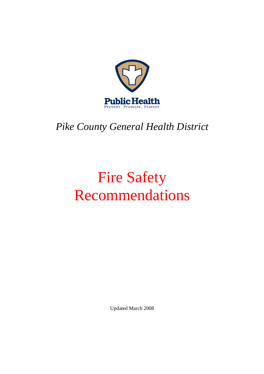

## *Pike County General Health District*

# Fire Safety Recommendations

Updated March 2008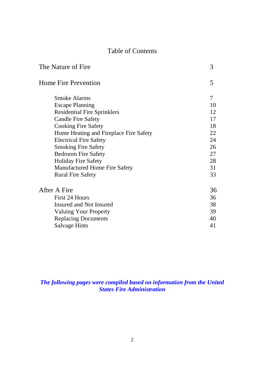## Table of Contents

| The Nature of Fire                     | 3  |
|----------------------------------------|----|
| <b>Home Fire Prevention</b>            | 5  |
| <b>Smoke Alarms</b>                    | 7  |
| <b>Escape Planning</b>                 | 10 |
| <b>Residential Fire Sprinklers</b>     | 12 |
| <b>Candle Fire Safety</b>              | 17 |
| <b>Cooking Fire Safety</b>             | 18 |
| Home Heating and Fireplace Fire Safety | 22 |
| <b>Electrical Fire Safety</b>          | 24 |
| <b>Smoking Fire Safety</b>             | 26 |
| <b>Bedroom Fire Safety</b>             | 27 |
| <b>Holiday Fire Safety</b>             | 28 |
| <b>Manufactured Home Fire Safety</b>   | 31 |
| <b>Rural Fire Safety</b>               | 33 |
| After A Fire                           | 36 |
| First 24 Hours                         | 36 |
| Insured and Not Insured                | 38 |
| <b>Valuing Your Property</b>           | 39 |
| <b>Replacing Documents</b>             | 40 |
| <b>Salvage Hints</b>                   | 41 |

*The following pages were compiled based on information from the United States Fire Administration*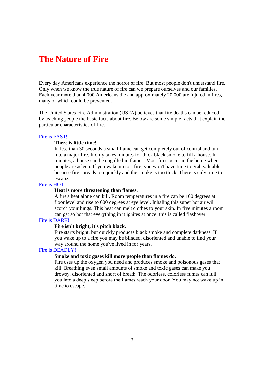## **The Nature of Fire**

Every day Americans experience the horror of fire. But most people don't understand fire. Only when we know the true nature of fire can we prepare ourselves and our families. Each year more than 4,000 Americans die and approximately 20,000 are injured in fires, many of which could be prevented.

The United States Fire Administration (USFA) believes that fire deaths can be reduced by teaching people the basic facts about fire. Below are some simple facts that explain the particular characteristics of fire.

#### Fire is FAST!

#### **There is little time!**

In less than 30 seconds a small flame can get completely out of control and turn into a major fire. It only takes minutes for thick black smoke to fill a house. In minutes, a house can be engulfed in flames. Most fires occur in the home when people are asleep. If you wake up to a fire, you won't have time to grab valuables because fire spreads too quickly and the smoke is too thick. There is only time to escape.

#### Fire is HOT!

#### **Heat is more threatening than flames.**

A fire's heat alone can kill. Room temperatures in a fire can be 100 degrees at floor level and rise to 600 degrees at eye level. Inhaling this super hot air will scorch your lungs. This heat can melt clothes to your skin. In five minutes a room can get so hot that everything in it ignites at once: this is called flashover.

#### Fire is DARK!

### **Fire isn't bright, it's pitch black.**

Fire starts bright, but quickly produces black smoke and complete darkness. If you wake up to a fire you may be blinded, disoriented and unable to find your way around the home you've lived in for years.

#### Fire is DEADLY!

#### **Smoke and toxic gases kill more people than flames do.**

Fire uses up the oxygen you need and produces smoke and poisonous gases that kill. Breathing even small amounts of smoke and toxic gases can make you drowsy, disoriented and short of breath. The odorless, colorless fumes can lull you into a deep sleep before the flames reach your door. You may not wake up in time to escape.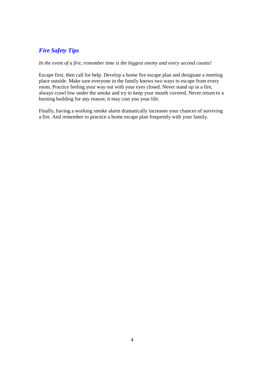## *Fire Safety Tips*

*In the event of a fire, remember time is the biggest enemy and every second counts!* 

Escape first, then call for help. Develop a home fire escape plan and designate a meeting place outside. Make sure everyone in the family knows two ways to escape from every room. Practice feeling your way out with your eyes closed. Never stand up in a fire, always crawl low under the smoke and try to keep your mouth covered. Never return to a burning building for any reason; it may cost you your life.

Finally, having a working smoke alarm dramatically increases your chances of surviving a fire. And remember to practice a home escape plan frequently with your family.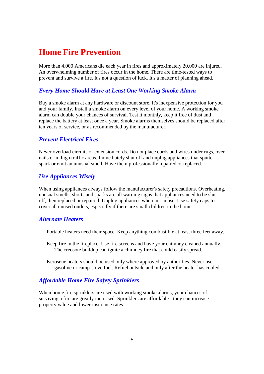## **Home Fire Prevention**

More than 4,000 Americans die each year in fires and approximately 20,000 are injured. An overwhelming number of fires occur in the home. There are time-tested ways to prevent and survive a fire. It's not a question of luck. It's a matter of planning ahead.

## *Every Home Should Have at Least One Working Smoke Alarm*

Buy a smoke alarm at any hardware or discount store. It's inexpensive protection for you and your family. Install a smoke alarm on every level of your home. A working smoke alarm can double your chances of survival. Test it monthly, keep it free of dust and replace the battery at least once a year. Smoke alarms themselves should be replaced after ten years of service, or as recommended by the manufacturer.

## *Prevent Electrical Fires*

Never overload circuits or extension cords. Do not place cords and wires under rugs, over nails or in high traffic areas. Immediately shut off and unplug appliances that sputter, spark or emit an unusual smell. Have them professionally repaired or replaced.

### *Use Appliances Wisely*

When using appliances always follow the manufacturer's safety precautions. Overheating, unusual smells, shorts and sparks are all warning signs that appliances need to be shut off, then replaced or repaired. Unplug appliances when not in use. Use safety caps to cover all unused outlets, especially if there are small children in the home.

### *Alternate Heaters*

Portable heaters need their space. Keep anything combustible at least three feet away.

- Keep fire in the fireplace. Use fire screens and have your chimney cleaned annually. The creosote buildup can ignite a chimney fire that could easily spread.
- Kerosene heaters should be used only where approved by authorities. Never use gasoline or camp-stove fuel. Refuel outside and only after the heater has cooled.

#### *Affordable Home Fire Safety Sprinklers*

When home fire sprinklers are used with working smoke alarms, your chances of surviving a fire are greatly increased. Sprinklers are affordable - they can increase property value and lower insurance rates.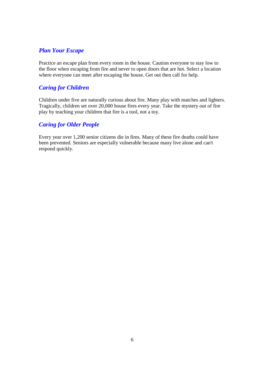## *Plan Your Escape*

Practice an escape plan from every room in the house. Caution everyone to stay low to the floor when escaping from fire and never to open doors that are hot. Select a location where everyone can meet after escaping the house. Get out then call for help.

## *Caring for Children*

Children under five are naturally curious about fire. Many play with matches and lighters. Tragically, children set over 20,000 house fires every year. Take the mystery out of fire play by teaching your children that fire is a tool, not a toy.

## *Caring for Older People*

Every year over 1,200 senior citizens die in fires. Many of these fire deaths could have been prevented. Seniors are especially vulnerable because many live alone and can't respond quickly.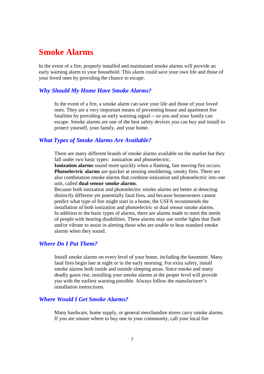## **Smoke Alarms**

In the event of a fire, properly installed and maintained smoke alarms will provide an early warning alarm to your household. This alarm could save your own life and those of your loved ones by providing the chance to escape.

#### *Why Should My Home Have Smoke Alarms?*

In the event of a fire, a smoke alarm can save your life and those of your loved ones. They are a very important means of preventing house and apartment fire fatalities by providing an early warning signal -- so you and your family can escape. Smoke alarms are one of the best safety devices you can buy and install to protect yourself, your family, and your home.

### *What Types of Smoke Alarms Are Available?*

There are many different brands of smoke alarms available on the market but they fall under two basic types: ionization and photoelectric.

**Ionization alarms** sound more quickly when a flaming, fast moving fire occurs. **Photoelectric alarms** are quicker at sensing smoldering, smoky fires. There are also combination smoke alarms that combine ionization and photoelectric into one unit, called **dual sensor smoke alarms**.

Because both ionization and photoelectric smoke alarms are better at detecting distinctly different yet potentially fatal fires, and because homeowners cannot predict what type of fire might start in a home, the USFA recommends the installation of both ionization and photoelectric or dual sensor smoke alarms. In addition to the basic types of alarms, there are alarms made to meet the needs of people with hearing disabilities. These alarms may use strobe lights that flash and/or vibrate to assist in alerting those who are unable to hear standard smoke alarms when they sound.

### *Where Do I Put Them?*

Install smoke alarms on every level of your home, including the basement. Many fatal fires begin late at night or in the early morning. For extra safety, install smoke alarms both inside and outside sleeping areas. Since smoke and many deadly gases rise, installing your smoke alarms at the proper level will provide you with the earliest warning possible. Always follow the manufacturer's installation instructions.

## *Where Would I Get Smoke Alarms?*

Many hardware, home supply, or general merchandise stores carry smoke alarms. If you are unsure where to buy one in your community, call your local fire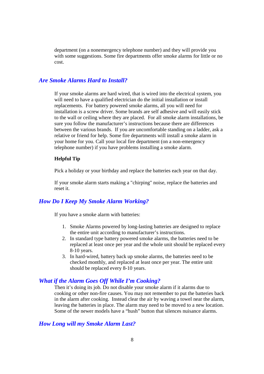department (on a nonemergency telephone number) and they will provide you with some suggestions. Some fire departments offer smoke alarms for little or no cost.

## *Are Smoke Alarms Hard to Install?*

If your smoke alarms are hard wired, that is wired into the electrical system, you will need to have a qualified electrician do the initial installation or install replacements. For battery powered smoke alarms, all you will need for installation is a screw driver. Some brands are self adhesive and will easily stick to the wall or ceiling where they are placed. For all smoke alarm installations, be sure you follow the manufacturer's instructions because there are differences between the various brands. If you are uncomfortable standing on a ladder, ask a relative or friend for help. Some fire departments will install a smoke alarm in your home for you. Call your local fire department (on a non-emergency telephone number) if you have problems installing a smoke alarm.

#### **Helpful Tip**

Pick a holiday or your birthday and replace the batteries each year on that day.

If your smoke alarm starts making a "chirping" noise, replace the batteries and reset it.

## *How Do I Keep My Smoke Alarm Working?*

If you have a smoke alarm with batteries:

- 1. Smoke Alarms powered by long-lasting batteries are designed to replace the entire unit according to manufacturer's instructions.
- 2. In standard type battery powered smoke alarms, the batteries need to be replaced at least once per year and the whole unit should be replaced every 8-10 years.
- 3. In hard-wired, battery back up smoke alarms, the batteries need to be checked monthly, and replaced at least once per year. The entire unit should be replaced every 8-10 years.

### *What if the Alarm Goes Off While I'm Cooking?*

Then it's doing its job. Do not disable your smoke alarm if it alarms due to cooking or other non-fire causes. You may not remember to put the batteries back in the alarm after cooking. Instead clear the air by waving a towel near the alarm, leaving the batteries in place. The alarm may need to be moved to a new location. Some of the newer models have a "hush" button that silences nuisance alarms.

### *How Long will my Smoke Alarm Last?*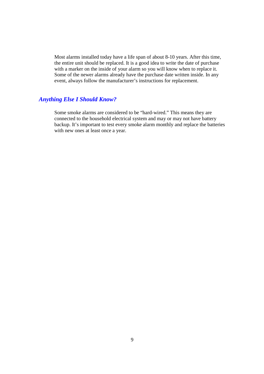Most alarms installed today have a life span of about 8-10 years. After this time, the entire unit should be replaced. It is a good idea to write the date of purchase with a marker on the inside of your alarm so you will know when to replace it. Some of the newer alarms already have the purchase date written inside. In any event, always follow the manufacturer's instructions for replacement.

## *Anything Else I Should Know?*

Some smoke alarms are considered to be "hard-wired." This means they are connected to the household electrical system and may or may not have battery backup. It's important to test every smoke alarm monthly and replace the batteries with new ones at least once a year.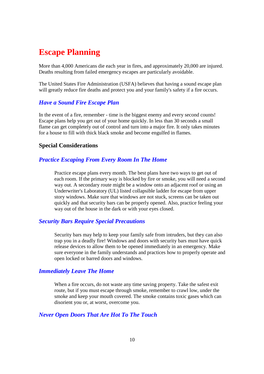## **Escape Planning**

More than 4,000 Americans die each year in fires, and approximately 20,000 are injured. Deaths resulting from failed emergency escapes are particularly avoidable.

The United States Fire Administration (USFA) believes that having a sound escape plan will greatly reduce fire deaths and protect you and your family's safety if a fire occurs.

### *Have a Sound Fire Escape Plan*

In the event of a fire, remember - time is the biggest enemy and every second counts! Escape plans help you get out of your home quickly. In less than 30 seconds a small flame can get completely out of control and turn into a major fire. It only takes minutes for a house to fill with thick black smoke and become engulfed in flames.

#### **Special Considerations**

#### *Practice Escaping From Every Room In The Home*

Practice escape plans every month. The best plans have two ways to get out of each room. If the primary way is blocked by fire or smoke, you will need a second way out. A secondary route might be a window onto an adjacent roof or using an Underwriter's Laboratory (UL) listed collapsible ladder for escape from upper story windows. Make sure that windows are not stuck, screens can be taken out quickly and that security bars can be properly opened. Also, practice feeling your way out of the house in the dark or with your eyes closed.

### *Security Bars Require Special Precautions*

Security bars may help to keep your family safe from intruders, but they can also trap you in a deadly fire! Windows and doors with security bars must have quick release devices to allow them to be opened immediately in an emergency. Make sure everyone in the family understands and practices how to properly operate and open locked or barred doors and windows.

#### *Immediately Leave The Home*

When a fire occurs, do not waste any time saving property. Take the safest exit route, but if you must escape through smoke, remember to crawl low, under the smoke and keep your mouth covered. The smoke contains toxic gases which can disorient you or, at worst, overcome you.

### *Never Open Doors That Are Hot To The Touch*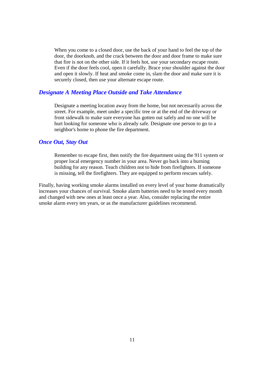When you come to a closed door, use the back of your hand to feel the top of the door, the doorknob, and the crack between the door and door frame to make sure that fire is not on the other side. If it feels hot, use your secondary escape route. Even if the door feels cool, open it carefully. Brace your shoulder against the door and open it slowly. If heat and smoke come in, slam the door and make sure it is securely closed, then use your alternate escape route.

#### *Designate A Meeting Place Outside and Take Attendance*

Designate a meeting location away from the home, but not necessarily across the street. For example, meet under a specific tree or at the end of the driveway or front sidewalk to make sure everyone has gotten out safely and no one will be hurt looking for someone who is already safe. Designate one person to go to a neighbor's home to phone the fire department.

#### *Once Out, Stay Out*

Remember to escape first, then notify the fire department using the 911 system or proper local emergency number in your area. Never go back into a burning building for any reason. Teach children not to hide from firefighters. If someone is missing, tell the firefighters. They are equipped to perform rescues safely.

Finally, having working smoke alarms installed on every level of your home dramatically increases your chances of survival. Smoke alarm batteries need to be tested every month and changed with new ones at least once a year. Also, consider replacing the entire smoke alarm every ten years, or as the manufacturer guidelines recommend.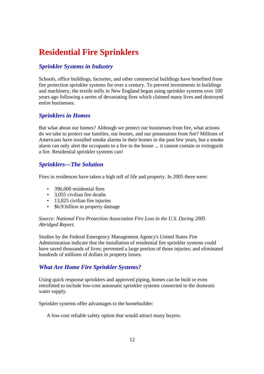## **Residential Fire Sprinklers**

## *Sprinkler Systems in Industry*

Schools, office buildings, factories, and other commercial buildings have benefited from fire protection sprinkler systems for over a century. To prevent investments in buildings and machinery, the textile mills in New England began using sprinkler systems over 100 years ago following a series of devastating fires which claimed many lives and destroyed entire businesses.

## *Sprinklers in Homes*

But what about our homes? Although we protect our businesses from fire, what actions do we take to protect our families, our homes, and our possessions from fire? Millions of Americans have installed smoke alarms in their homes in the past few years, but a smoke alarm can only alert the occupants to a fire in the house ... it cannot contain or extinguish a fire. Residential sprinkler systems can!

## *Sprinklers—The Solution*

Fires in residences have taken a high toll of life and property. In 2005 there were:

- 396,000 residential fires
- 3,055 civilian fire deaths
- 13,825 civilian fire injuries
- \$6.9 billion in property damage

#### *Source: National Fire Protection Association Fire Loss in the U.S. During 2005 Abridged Report.*

Studies by the Federal Emergency Management Agency's United States Fire Administration indicate that the installation of residential fire sprinkler systems could have saved thousands of lives; prevented a large portion of those injuries; and eliminated hundreds of millions of dollars in property losses.

## *What Are Home Fire Sprinkler Systems?*

Using quick response sprinklers and approved piping, homes can be built or even retrofitted to include low-cost automatic sprinkler systems connected to the domestic water supply.

Sprinkler systems offer advantages to the homebuilder:

A low-cost reliable safety option that would attract many buyers.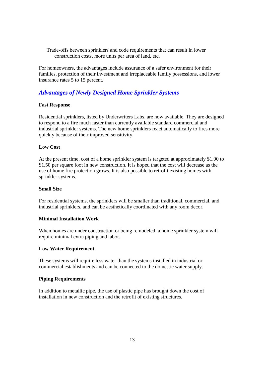Trade-offs between sprinklers and code requirements that can result in lower construction costs, more units per area of land, etc.

For homeowners, the advantages include assurance of a safer environment for their families, protection of their investment and irreplaceable family possessions, and lower insurance rates 5 to 15 percent.

## *Advantages of Newly Designed Home Sprinkler Systems*

#### **Fast Response**

Residential sprinklers, listed by Underwriters Labs, are now available. They are designed to respond to a fire much faster than currently available standard commercial and industrial sprinkler systems. The new home sprinklers react automatically to fires more quickly because of their improved sensitivity.

#### **Low Cost**

At the present time, cost of a home sprinkler system is targeted at approximately \$1.00 to \$1.50 per square foot in new construction. It is hoped that the cost will decrease as the use of home fire protection grows. It is also possible to retrofit existing homes with sprinkler systems.

#### **Small Size**

For residential systems, the sprinklers will be smaller than traditional, commercial, and industrial sprinklers, and can be aesthetically coordinated with any room decor.

#### **Minimal Installation Work**

When homes are under construction or being remodeled, a home sprinkler system will require minimal extra piping and labor.

#### **Low Water Requirement**

These systems will require less water than the systems installed in industrial or commercial establishments and can be connected to the domestic water supply.

#### **Piping Requirements**

In addition to metallic pipe, the use of plastic pipe has brought down the cost of installation in new construction and the retrofit of existing structures.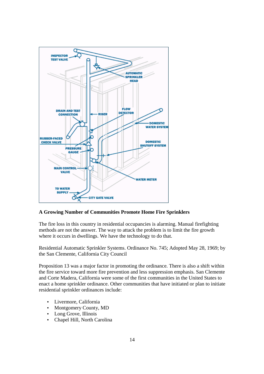

#### **A Growing Number of Communities Promote Home Fire Sprinklers**

The fire loss in this country in residential occupancies is alarming. Manual firefighting methods are not the answer. The way to attack the problem is to limit the fire growth where it occurs in dwellings. We have the technology to do that.

Residential Automatic Sprinkler Systems. Ordinance No. 745; Adopted May 28, 1969; by the San Clemente, California City Council

Proposition 13 was a major factor in promoting the ordinance. There is also a shift within the fire service toward more fire prevention and less suppression emphasis. San Clemente and Corte Madera, California were some of the first communities in the United States to enact a home sprinkler ordinance. Other communities that have initiated or plan to initiate residential sprinkler ordinances include:

- Livermore, California
- Montgomery County, MD
- Long Grove, Illinois
- Chapel Hill, North Carolina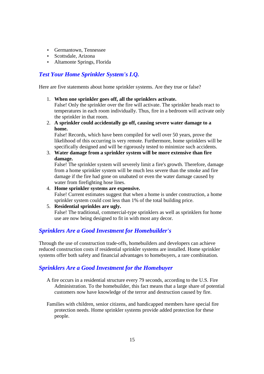- Germantown, Tennessee
- Scottsdale, Arizona
- Altamonte Springs, Florida

## *Test Your Home Sprinkler System's I.Q.*

Here are five statements about home sprinkler systems. Are they true or false?

1. **When one sprinkler goes off, all the sprinklers activate.** 

False! Only the sprinkler over the fire will activate. The sprinkler heads react to temperatures in each room individually. Thus, fire in a bedroom will activate only the sprinkler in that room.

2. **A sprinkler could accidentally go off, causing severe water damage to a home.** 

False! Records, which have been compiled for well over 50 years, prove the likelihood of this occurring is very remote. Furthermore, home sprinklers will be specifically designed and will be rigorously tested to minimize such accidents.

3. **Water damage from a sprinkler system will be more extensive than fire damage.**

False! The sprinkler system will severely limit a fire's growth. Therefore, damage from a home sprinkler system will be much less severe than the smoke and fire damage if the fire had gone on unabated or even the water damage caused by water from firefighting hose lines.

- 4. **Home sprinkler systems are expensive.** False! Current estimates suggest that when a home is under construction, a home sprinkler system could cost less than 1% of the total building price.
- 5. **Residential sprinkles are ugly.**

False! The traditional, commercial-type sprinklers as well as sprinklers for home use are now being designed to fit in with most any decor.

## *Sprinklers Are a Good Investment for Homebuilder's*

Through the use of construction trade-offs, homebuilders and developers can achieve reduced construction costs if residential sprinkler systems are installed. Home sprinkler systems offer both safety and financial advantages to homebuyers, a rare combination.

## *Sprinklers Are a Good Investment for the Homebuyer*

- A fire occurs in a residential structure every 79 seconds, according to the U.S. Fire Administration. To the homebuilder, this fact means that a large share of potential customers now have knowledge of the terror and destruction caused by fire.
- Families with children, senior citizens, and handicapped members have special fire protection needs. Home sprinkler systems provide added protection for these people.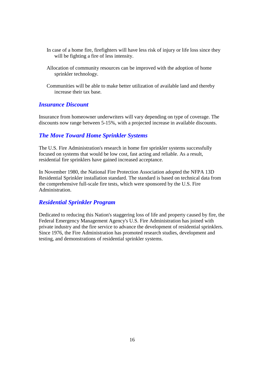- In case of a home fire, firefighters will have less risk of injury or life loss since they will be fighting a fire of less intensity.
- Allocation of community resources can be improved with the adoption of home sprinkler technology.
- Communities will be able to make better utilization of available land and thereby increase their tax base.

## *Insurance Discount*

Insurance from homeowner underwriters will vary depending on type of coverage. The discounts now range between 5-15%, with a projected increase in available discounts.

## *The Move Toward Home Sprinkler Systems*

The U.S. Fire Administration's research in home fire sprinkler systems successfully focused on systems that would be low cost, fast acting and reliable. As a result, residential fire sprinklers have gained increased acceptance.

In November 1980, the National Fire Protection Association adopted the NFPA 13D Residential Sprinkler installation standard. The standard is based on technical data from the comprehensive full-scale fire tests, which were sponsored by the U.S. Fire Administration.

#### *Residential Sprinkler Program*

Dedicated to reducing this Nation's staggering loss of life and property caused by fire, the Federal Emergency Management Agency's U.S. Fire Administration has joined with private industry and the fire service to advance the development of residential sprinklers. Since 1976, the Fire Administration has promoted research studies, development and testing, and demonstrations of residential sprinkler systems.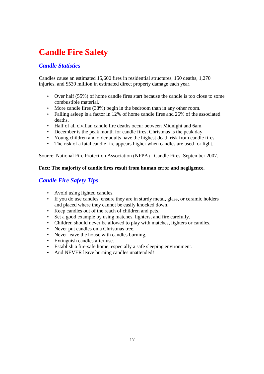## **Candle Fire Safety**

## *Candle Statistics*

Candles cause an estimated 15,600 fires in residential structures, 150 deaths, 1,270 injuries, and \$539 million in estimated direct property damage each year.

- Over half (55%) of home candle fires start because the candle is too close to some combustible material.
- More candle fires (38%) begin in the bedroom than in any other room.
- Falling asleep is a factor in 12% of home candle fires and 26% of the associated deaths.
- Half of all civilian candle fire deaths occur between Midnight and 6am.
- December is the peak month for candle fires; Christmas is the peak day.
- Young children and older adults have the highest death risk from candle fires.
- The risk of a fatal candle fire appears higher when candles are used for light.

Source: National Fire Protection Association (NFPA) - Candle Fires, September 2007.

#### **Fact: The majority of candle fires result from human error and negligence.**

## *Candle Fire Safety Tips*

- Avoid using lighted candles.
- If you do use candles, ensure they are in sturdy metal, glass, or ceramic holders and placed where they cannot be easily knocked down.
- Keep candles out of the reach of children and pets.
- Set a good example by using matches, lighters, and fire carefully.
- Children should never be allowed to play with matches, lighters or candles.
- Never put candles on a Christmas tree.
- Never leave the house with candles burning.
- Extinguish candles after use.
- Establish a fire-safe home, especially a safe sleeping environment.
- And NEVER leave burning candles unattended!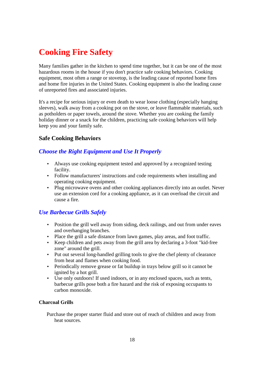## **Cooking Fire Safety**

Many families gather in the kitchen to spend time together, but it can be one of the most hazardous rooms in the house if you don't practice safe cooking behaviors. Cooking equipment, most often a range or stovetop, is the leading cause of reported home fires and home fire injuries in the United States. Cooking equipment is also the leading cause of unreported fires and associated injuries.

It's a recipe for serious injury or even death to wear loose clothing (especially hanging sleeves), walk away from a cooking pot on the stove, or leave flammable materials, such as potholders or paper towels, around the stove. Whether you are cooking the family holiday dinner or a snack for the children, practicing safe cooking behaviors will help keep you and your family safe.

## **Safe Cooking Behaviors**

## *Choose the Right Equipment and Use It Properly*

- Always use cooking equipment tested and approved by a recognized testing facility.
- Follow manufacturers' instructions and code requirements when installing and operating cooking equipment.
- Plug microwave ovens and other cooking appliances directly into an outlet. Never use an extension cord for a cooking appliance, as it can overload the circuit and cause a fire.

## *Use Barbecue Grills Safely*

- Position the grill well away from siding, deck railings, and out from under eaves and overhanging branches.
- Place the grill a safe distance from lawn games, play areas, and foot traffic.
- Keep children and pets away from the grill area by declaring a 3-foot "kid-free zone" around the grill.
- Put out several long-handled grilling tools to give the chef plenty of clearance from heat and flames when cooking food.
- Periodically remove grease or fat buildup in trays below grill so it cannot be ignited by a hot grill.
- Use only outdoors! If used indoors, or in any enclosed spaces, such as tents, barbecue grills pose both a fire hazard and the risk of exposing occupants to carbon monoxide.

### **Charcoal Grills**

Purchase the proper starter fluid and store out of reach of children and away from heat sources.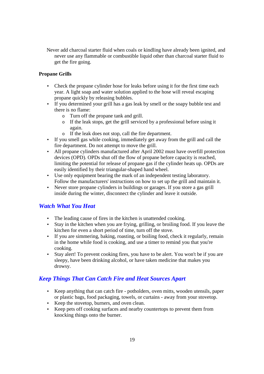Never add charcoal starter fluid when coals or kindling have already been ignited, and never use any flammable or combustible liquid other than charcoal starter fluid to get the fire going.

### **Propane Grills**

- Check the propane cylinder hose for leaks before using it for the first time each year. A light soap and water solution applied to the hose will reveal escaping propane quickly by releasing bubbles.
- If you determined your grill has a gas leak by smell or the soapy bubble test and there is no flame:
	- o Turn off the propane tank and grill.
	- o If the leak stops, get the grill serviced by a professional before using it again.
	- o If the leak does not stop, call the fire department.
- If you smell gas while cooking, immediately get away from the grill and call the fire department. Do not attempt to move the grill.
- All propane cylinders manufactured after April 2002 must have overfill protection devices (OPD). OPDs shut off the flow of propane before capacity is reached, limiting the potential for release of propane gas if the cylinder heats up. OPDs are easily identified by their triangular-shaped hand wheel.
- Use only equipment bearing the mark of an independent testing laboratory. Follow the manufacturers' instructions on how to set up the grill and maintain it.
- Never store propane cylinders in buildings or garages. If you store a gas grill inside during the winter, disconnect the cylinder and leave it outside.

## *Watch What You Heat*

- The leading cause of fires in the kitchen is unattended cooking.
- Stay in the kitchen when you are frying, grilling, or broiling food. If you leave the kitchen for even a short period of time, turn off the stove.
- If you are simmering, baking, roasting, or boiling food, check it regularly, remain in the home while food is cooking, and use a timer to remind you that you're cooking.
- Stay alert! To prevent cooking fires, you have to be alert. You won't be if you are sleepy, have been drinking alcohol, or have taken medicine that makes you drowsy.

## *Keep Things That Can Catch Fire and Heat Sources Apart*

- Keep anything that can catch fire potholders, oven mitts, wooden utensils, paper or plastic bags, food packaging, towels, or curtains - away from your stovetop.
- Keep the stovetop, burners, and oven clean.
- Keep pets off cooking surfaces and nearby countertops to prevent them from knocking things onto the burner.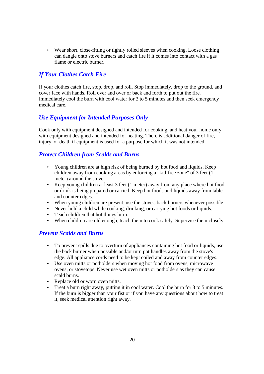• Wear short, close-fitting or tightly rolled sleeves when cooking. Loose clothing can dangle onto stove burners and catch fire if it comes into contact with a gas flame or electric burner.

## *If Your Clothes Catch Fire*

If your clothes catch fire, stop, drop, and roll. Stop immediately, drop to the ground, and cover face with hands. Roll over and over or back and forth to put out the fire. Immediately cool the burn with cool water for 3 to 5 minutes and then seek emergency medical care.

## *Use Equipment for Intended Purposes Only*

Cook only with equipment designed and intended for cooking, and heat your home only with equipment designed and intended for heating. There is additional danger of fire, injury, or death if equipment is used for a purpose for which it was not intended.

## *Protect Children from Scalds and Burns*

- Young children are at high risk of being burned by hot food and liquids. Keep children away from cooking areas by enforcing a "kid-free zone" of 3 feet (1 meter) around the stove.
- Keep young children at least 3 feet (1 meter) away from any place where hot food or drink is being prepared or carried. Keep hot foods and liquids away from table and counter edges.
- When young children are present, use the stove's back burners whenever possible.
- Never hold a child while cooking, drinking, or carrying hot foods or liquids.
- Teach children that hot things burn.
- When children are old enough, teach them to cook safely. Supervise them closely.

## *Prevent Scalds and Burns*

- To prevent spills due to overturn of appliances containing hot food or liquids, use the back burner when possible and/or turn pot handles away from the stove's edge. All appliance cords need to be kept coiled and away from counter edges.
- Use oven mitts or potholders when moving hot food from ovens, microwave ovens, or stovetops. Never use wet oven mitts or potholders as they can cause scald burns.
- Replace old or worn oven mitts.
- Treat a burn right away, putting it in cool water. Cool the burn for 3 to 5 minutes. If the burn is bigger than your fist or if you have any questions about how to treat it, seek medical attention right away.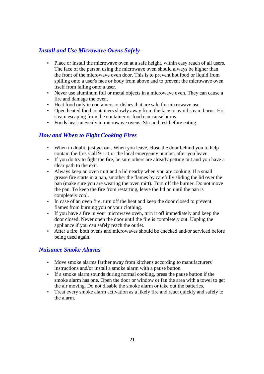## *Install and Use Microwave Ovens Safely*

- Place or install the microwave oven at a safe height, within easy reach of all users. The face of the person using the microwave oven should always be higher than the front of the microwave oven door. This is to prevent hot food or liquid from spilling onto a user's face or body from above and to prevent the microwave oven itself from falling onto a user.
- Never use aluminum foil or metal objects in a microwave oven. They can cause a fire and damage the oven.
- Heat food only in containers or dishes that are safe for microwave use.
- Open heated food containers slowly away from the face to avoid steam burns. Hot steam escaping from the container or food can cause burns.
- Foods heat unevenly in microwave ovens. Stir and test before eating.

## *How and When to Fight Cooking Fires*

- When in doubt, just get out. When you leave, close the door behind you to help contain the fire. Call 9-1-1 or the local emergency number after you leave.
- If you do try to fight the fire, be sure others are already getting out and you have a clear path to the exit.
- Always keep an oven mitt and a lid nearby when you are cooking. If a small grease fire starts in a pan, smother the flames by carefully sliding the lid over the pan (make sure you are wearing the oven mitt). Turn off the burner. Do not move the pan. To keep the fire from restarting, leave the lid on until the pan is completely cool.
- In case of an oven fire, turn off the heat and keep the door closed to prevent flames from burning you or your clothing.
- If you have a fire in your microwave oven, turn it off immediately and keep the door closed. Never open the door until the fire is completely out. Unplug the appliance if you can safely reach the outlet.
- After a fire, both ovens and microwaves should be checked and/or serviced before being used again.

## *Nuisance Smoke Alarms*

- Move smoke alarms farther away from kitchens according to manufacturers' instructions and/or install a smoke alarm with a pause button.
- If a smoke alarm sounds during normal cooking, press the pause button if the smoke alarm has one. Open the door or window or fan the area with a towel to get the air moving. Do not disable the smoke alarm or take out the batteries.
- Treat every smoke alarm activation as a likely fire and react quickly and safely to the alarm.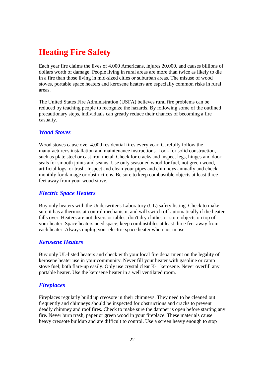## **Heating Fire Safety**

Each year fire claims the lives of 4,000 Americans, injures 20,000, and causes billions of dollars worth of damage. People living in rural areas are more than twice as likely to die in a fire than those living in mid-sized cities or suburban areas. The misuse of wood stoves, portable space heaters and kerosene heaters are especially common risks in rural areas.

The United States Fire Administration (USFA) believes rural fire problems can be reduced by teaching people to recognize the hazards. By following some of the outlined precautionary steps, individuals can greatly reduce their chances of becoming a fire casualty.

#### *Wood Stoves*

Wood stoves cause over 4,000 residential fires every year. Carefully follow the manufacturer's installation and maintenance instructions. Look for solid construction, such as plate steel or cast iron metal. Check for cracks and inspect legs, hinges and door seals for smooth joints and seams. Use only seasoned wood for fuel, not green wood, artificial logs, or trash. Inspect and clean your pipes and chimneys annually and check monthly for damage or obstructions. Be sure to keep combustible objects at least three feet away from your wood stove.

## *Electric Space Heaters*

Buy only heaters with the Underwriter's Laboratory (UL) safety listing. Check to make sure it has a thermostat control mechanism, and will switch off automatically if the heater falls over. Heaters are not dryers or tables; don't dry clothes or store objects on top of your heater. Space heaters need space; keep combustibles at least three feet away from each heater. Always unplug your electric space heater when not in use.

#### *Kerosene Heaters*

Buy only UL-listed heaters and check with your local fire department on the legality of kerosene heater use in your community. Never fill your heater with gasoline or camp stove fuel; both flare-up easily. Only use crystal clear K-1 kerosene. Never overfill any portable heater. Use the kerosene heater in a well ventilated room.

### *Fireplaces*

Fireplaces regularly build up creosote in their chimneys. They need to be cleaned out frequently and chimneys should be inspected for obstructions and cracks to prevent deadly chimney and roof fires. Check to make sure the damper is open before starting any fire. Never burn trash, paper or green wood in your fireplace. These materials cause heavy creosote buildup and are difficult to control. Use a screen heavy enough to stop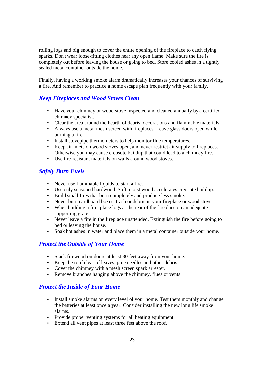rolling logs and big enough to cover the entire opening of the fireplace to catch flying sparks. Don't wear loose-fitting clothes near any open flame. Make sure the fire is completely out before leaving the house or going to bed. Store cooled ashes in a tightly sealed metal container outside the home.

Finally, having a working smoke alarm dramatically increases your chances of surviving a fire. And remember to practice a home escape plan frequently with your family.

## *Keep Fireplaces and Wood Stoves Clean*

- Have your chimney or wood stove inspected and cleaned annually by a certified chimney specialist.
- Clear the area around the hearth of debris, decorations and flammable materials.
- Always use a metal mesh screen with fireplaces. Leave glass doors open while burning a fire.
- Install stovepipe thermometers to help monitor flue temperatures.
- Keep air inlets on wood stoves open, and never restrict air supply to fireplaces. Otherwise you may cause creosote buildup that could lead to a chimney fire.
- Use fire-resistant materials on walls around wood stoves.

## *Safely Burn Fuels*

- Never use flammable liquids to start a fire.
- Use only seasoned hardwood. Soft, moist wood accelerates creosote buildup.
- Build small fires that burn completely and produce less smoke.
- Never burn cardboard boxes, trash or debris in your fireplace or wood stove.
- When building a fire, place logs at the rear of the fireplace on an adequate supporting grate.
- Never leave a fire in the fireplace unattended. Extinguish the fire before going to bed or leaving the house.
- Soak hot ashes in water and place them in a metal container outside your home.

## *Protect the Outside of Your Home*

- Stack firewood outdoors at least 30 feet away from your home.
- Keep the roof clear of leaves, pine needles and other debris.
- Cover the chimney with a mesh screen spark arrester.
- Remove branches hanging above the chimney, flues or vents.

## *Protect the Inside of Your Home*

- Install smoke alarms on every level of your home. Test them monthly and change the batteries at least once a year. Consider installing the new long life smoke alarms.
- Provide proper venting systems for all heating equipment.
- Extend all vent pipes at least three feet above the roof.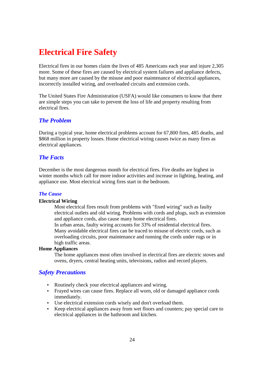## **Electrical Fire Safety**

Electrical fires in our homes claim the lives of 485 Americans each year and injure 2,305 more. Some of these fires are caused by electrical system failures and appliance defects, but many more are caused by the misuse and poor maintenance of electrical appliances, incorrectly installed wiring, and overloaded circuits and extension cords.

The United States Fire Administration (USFA) would like consumers to know that there are simple steps you can take to prevent the loss of life and property resulting from electrical fires.

## *The Problem*

During a typical year, home electrical problems account for 67,800 fires, 485 deaths, and \$868 million in property losses. Home electrical wiring causes twice as many fires as electrical appliances.

#### *The Facts*

December is the most dangerous month for electrical fires. Fire deaths are highest in winter months which call for more indoor activities and increase in lighting, heating, and appliance use. Most electrical wiring fires start in the bedroom.

#### *The Cause*

#### **Electrical Wiring**

Most electrical fires result from problems with "fixed wiring" such as faulty electrical outlets and old wiring. Problems with cords and plugs, such as extension and appliance cords, also cause many home electrical fires. In urban areas, faulty wiring accounts for 33% of residential electrical fires. Many avoidable electrical fires can be traced to misuse of electric cords, such as

overloading circuits, poor maintenance and running the cords under rugs or in high traffic areas.

#### **Home Appliances**

The home appliances most often involved in electrical fires are electric stoves and ovens, dryers, central heating units, televisions, radios and record players.

#### *Safety Precautions*

- Routinely check your electrical appliances and wiring.
- Frayed wires can cause fires. Replace all worn, old or damaged appliance cords immediately.
- Use electrical extension cords wisely and don't overload them.
- Keep electrical appliances away from wet floors and counters; pay special care to electrical appliances in the bathroom and kitchen.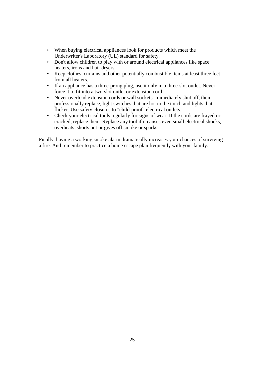- When buying electrical appliances look for products which meet the Underwriter's Laboratory (UL) standard for safety.
- Don't allow children to play with or around electrical appliances like space heaters, irons and hair dryers.
- Keep clothes, curtains and other potentially combustible items at least three feet from all heaters.
- If an appliance has a three-prong plug, use it only in a three-slot outlet. Never force it to fit into a two-slot outlet or extension cord.
- Never overload extension cords or wall sockets. Immediately shut off, then professionally replace, light switches that are hot to the touch and lights that flicker. Use safety closures to "child-proof" electrical outlets.
- Check your electrical tools regularly for signs of wear. If the cords are frayed or cracked, replace them. Replace any tool if it causes even small electrical shocks, overheats, shorts out or gives off smoke or sparks.

Finally, having a working smoke alarm dramatically increases your chances of surviving a fire. And remember to practice a home escape plan frequently with your family.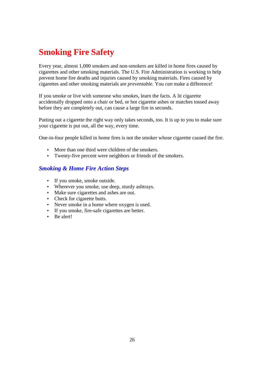## **Smoking Fire Safety**

Every year, almost 1,000 smokers and non-smokers are killed in home fires caused by cigarettes and other smoking materials. The U.S. Fire Administration is working to help prevent home fire deaths and injuries caused by smoking materials. Fires caused by cigarettes and other smoking materials are *preventable*. You *can* make a difference!

If you smoke or live with someone who smokes, learn the facts. A lit cigarette accidentally dropped onto a chair or bed, or hot cigarette ashes or matches tossed away before they are completely out, can cause a large fire in seconds.

Putting out a cigarette the right way only takes seconds, too. It is up to you to make sure your cigarette is put out, all the way, every time.

One-in-four people killed in home fires is not the smoker whose cigarette caused the fire.

- More than one third were children of the smokers.
- Twenty-five percent were neighbors or friends of the smokers.

## *Smoking & Home Fire Action Steps*

- If you smoke, smoke outside.
- Wherever you smoke, use deep, sturdy ashtrays.
- Make sure cigarettes and ashes are out.
- Check for cigarette butts.
- Never smoke in a home where oxygen is used.
- If you smoke, fire-safe cigarettes are better.
- Be alert!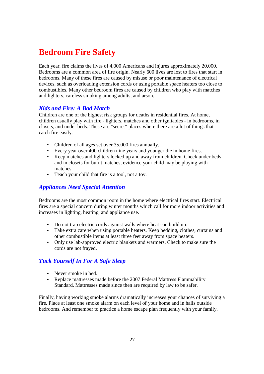## **Bedroom Fire Safety**

Each year, fire claims the lives of 4,000 Americans and injures approximately 20,000. Bedrooms are a common area of fire origin. Nearly 600 lives are lost to fires that start in bedrooms. Many of these fires are caused by misuse or poor maintenance of electrical devices, such as overloading extension cords or using portable space heaters too close to combustibles. Many other bedroom fires are caused by children who play with matches and lighters, careless smoking among adults, and arson.

## *Kids and Fire: A Bad Match*

Children are one of the highest risk groups for deaths in residential fires. At home, children usually play with fire - lighters, matches and other ignitables - in bedrooms, in closets, and under beds. These are "secret" places where there are a lot of things that catch fire easily.

- Children of all ages set over 35,000 fires annually.
- Every year over 400 children nine years and younger die in home fires.
- Keep matches and lighters locked up and away from children. Check under beds and in closets for burnt matches, evidence your child may be playing with matches.
- Teach your child that fire is a tool, not a toy.

## *Appliances Need Special Attention*

Bedrooms are the most common room in the home where electrical fires start. Electrical fires are a special concern during winter months which call for more indoor activities and increases in lighting, heating, and appliance use.

- Do not trap electric cords against walls where heat can build up.
- Take extra care when using portable heaters. Keep bedding, clothes, curtains and other combustible items at least three feet away from space heaters.
- Only use lab-approved electric blankets and warmers. Check to make sure the cords are not frayed.

## *Tuck Yourself In For A Safe Sleep*

- Never smoke in bed.
- Replace mattresses made before the 2007 Federal Mattress Flammability Standard. Mattresses made since then are required by law to be safer.

Finally, having working smoke alarms dramatically increases your chances of surviving a fire. Place at least one smoke alarm on each level of your home and in halls outside bedrooms. And remember to practice a home escape plan frequently with your family.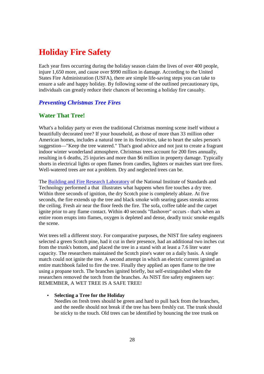## **Holiday Fire Safety**

Each year fires occurring during the holiday season claim the lives of over 400 people, injure 1,650 more, and cause over \$990 million in damage. According to the United States Fire Administration (USFA), there are simple life-saving steps you can take to ensure a safe and happy holiday. By following some of the outlined precautionary tips, individuals can greatly reduce their chances of becoming a holiday fire casualty.

## *Preventing Christmas Tree Fires*

## **Water That Tree!**

What's a holiday party or even the traditional Christmas morning scene itself without a beautifully decorated tree? If your household, as those of more than 33 million other American homes, includes a natural tree in its festivities, take to heart the sales person's suggestion—"Keep the tree watered." That's good advice and not just to create a fragrant indoor winter wonderland atmosphere. Christmas trees account for 200 fires annually, resulting in 6 deaths, 25 injuries and more than \$6 million in property damage. Typically shorts in electrical lights or open flames from candles, lighters or matches start tree fires. Well-watered trees are not a problem. Dry and neglected trees can be.

The Building and Fire Research Laboratory of the National Institute of Standards and Technology performed a that illustrates what happens when fire touches a dry tree. Within three seconds of ignition, the dry Scotch pine is completely ablaze. At five seconds, the fire extends up the tree and black smoke with searing gases streaks across the ceiling. Fresh air near the floor feeds the fire. The sofa, coffee table and the carpet ignite prior to any flame contact. Within 40 seconds "flashover" occurs - that's when an entire room erupts into flames, oxygen is depleted and dense, deadly toxic smoke engulfs the scene.

Wet trees tell a different story. For comparative purposes, the NIST fire safety engineers selected a green Scotch pine, had it cut in their presence, had an additional two inches cut from the trunk's bottom, and placed the tree in a stand with at least a 7.6 liter water capacity. The researchers maintained the Scotch pine's water on a daily basis. A single match could not ignite the tree. A second attempt in which an electric current ignited an entire matchbook failed to fire the tree. Finally they applied an open flame to the tree using a propane torch. The branches ignited briefly, but self-extinguished when the researchers removed the torch from the branches. As NIST fire safety engineers say: REMEMBER, A WET TREE IS A SAFE TREE!

#### • **Selecting a Tree for the Holiday**

Needles on fresh trees should be green and hard to pull back from the branches, and the needle should not break if the tree has been freshly cut. The trunk should be sticky to the touch. Old trees can be identified by bouncing the tree trunk on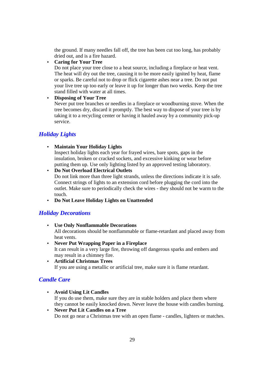the ground. If many needles fall off, the tree has been cut too long, has probably dried out, and is a fire hazard.

• **Caring for Your Tree**

Do not place your tree close to a heat source, including a fireplace or heat vent. The heat will dry out the tree, causing it to be more easily ignited by heat, flame or sparks. Be careful not to drop or flick cigarette ashes near a tree. Do not put your live tree up too early or leave it up for longer than two weeks. Keep the tree stand filled with water at all times.

### • **Disposing of Your Tree**

Never put tree branches or needles in a fireplace or woodburning stove. When the tree becomes dry, discard it promptly. The best way to dispose of your tree is by taking it to a recycling center or having it hauled away by a community pick-up service.

## *Holiday Lights*

• **Maintain Your Holiday Lights**

Inspect holiday lights each year for frayed wires, bare spots, gaps in the insulation, broken or cracked sockets, and excessive kinking or wear before putting them up. Use only lighting listed by an approved testing laboratory.

- **Do Not Overload Electrical Outlets** Do not link more than three light strands, unless the directions indicate it is safe. Connect strings of lights to an extension cord before plugging the cord into the outlet. Make sure to periodically check the wires - they should not be warm to the touch.
- **Do Not Leave Holiday Lights on Unattended**

## *Holiday Decorations*

- **Use Only Nonflammable Decorations** All decorations should be nonflammable or flame-retardant and placed away from heat vents.
- **Never Put Wrapping Paper in a Fireplace** It can result in a very large fire, throwing off dangerous sparks and embers and may result in a chimney fire.
- **Artificial Christmas Trees** If you are using a metallic or artificial tree, make sure it is flame retardant.

## *Candle Care*

• **Avoid Using Lit Candles**

If you do use them, make sure they are in stable holders and place them where they cannot be easily knocked down. Never leave the house with candles burning.

• **Never Put Lit Candles on a Tree** Do not go near a Christmas tree with an open flame - candles, lighters or matches.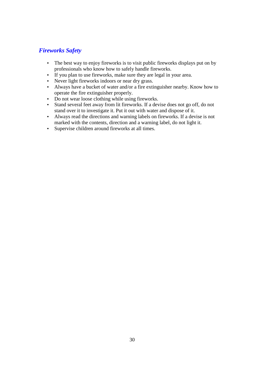## *Fireworks Safety*

- The best way to enjoy fireworks is to visit public fireworks displays put on by professionals who know how to safely handle fireworks.
- If you plan to use fireworks, make sure they are legal in your area.
- Never light fireworks indoors or near dry grass.
- Always have a bucket of water and/or a fire extinguisher nearby. Know how to operate the fire extinguisher properly.
- Do not wear loose clothing while using fireworks.
- Stand several feet away from lit fireworks. If a devise does not go off, do not stand over it to investigate it. Put it out with water and dispose of it.
- Always read the directions and warning labels on fireworks. If a devise is not marked with the contents, direction and a warning label, do not light it.
- Supervise children around fireworks at all times.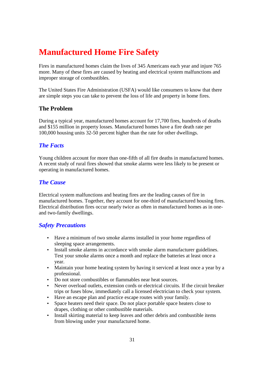## **Manufactured Home Fire Safety**

Fires in manufactured homes claim the lives of 345 Americans each year and injure 765 more. Many of these fires are caused by heating and electrical system malfunctions and improper storage of combustibles.

The United States Fire Administration (USFA) would like consumers to know that there are simple steps you can take to prevent the loss of life and property in home fires.

## **The Problem**

During a typical year, manufactured homes account for 17,700 fires, hundreds of deaths and \$155 million in property losses. Manufactured homes have a fire death rate per 100,000 housing units 32-50 percent higher than the rate for other dwellings.

### *The Facts*

Young children account for more than one-fifth of all fire deaths in manufactured homes. A recent study of rural fires showed that smoke alarms were less likely to be present or operating in manufactured homes.

## *The Cause*

Electrical system malfunctions and heating fires are the leading causes of fire in manufactured homes. Together, they account for one-third of manufactured housing fires. Electrical distribution fires occur nearly twice as often in manufactured homes as in oneand two-family dwellings.

#### *Safety Precautions*

- Have a minimum of two smoke alarms installed in your home regardless of sleeping space arrangements.
- Install smoke alarms in accordance with smoke alarm manufacturer guidelines. Test your smoke alarms once a month and replace the batteries at least once a year.
- Maintain your home heating system by having it serviced at least once a year by a professional.
- Do not store combustibles or flammables near heat sources.
- Never overload outlets, extension cords or electrical circuits. If the circuit breaker trips or fuses blow, immediately call a licensed electrician to check your system.
- Have an escape plan and practice escape routes with your family.
- Space heaters need their space. Do not place portable space heaters close to drapes, clothing or other combustible materials.
- Install skirting material to keep leaves and other debris and combustible items from blowing under your manufactured home.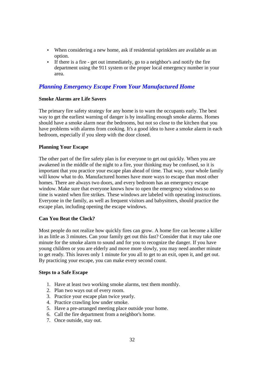- When considering a new home, ask if residential sprinklers are available as an option.
- If there is a fire get out immediately, go to a neighbor's and notify the fire department using the 911 system or the proper local emergency number in your area.

## *Planning Emergency Escape From Your Manufactured Home*

#### **Smoke Alarms are Life Savers**

The primary fire safety strategy for any home is to warn the occupants early. The best way to get the earliest warning of danger is by installing enough smoke alarms. Homes should have a smoke alarm near the bedrooms, but not so close to the kitchen that you have problems with alarms from cooking. It's a good idea to have a smoke alarm in each bedroom, especially if you sleep with the door closed.

#### **Planning Your Escape**

The other part of the fire safety plan is for everyone to get out quickly. When you are awakened in the middle of the night to a fire, your thinking may be confused, so it is important that you practice your escape plan ahead of time. That way, your whole family will know what to do. Manufactured homes have more ways to escape than most other homes. There are always two doors, and every bedroom has an emergency escape window. Make sure that everyone knows how to open the emergency windows so no time is wasted when fire strikes. These windows are labeled with operating instructions. Everyone in the family, as well as frequent visitors and babysitters, should practice the escape plan, including opening the escape windows.

#### **Can You Beat the Clock?**

Most people do not realize how quickly fires can grow. A home fire can become a killer in as little as 3 minutes. Can your family get out this fast? Consider that it may take one minute for the smoke alarm to sound and for you to recognize the danger. If you have young children or you are elderly and move more slowly, you may need another minute to get ready. This leaves only 1 minute for you all to get to an exit, open it, and get out. By practicing your escape, you can make every second count.

#### **Steps to a Safe Escape**

- 1. Have at least two working smoke alarms, test them monthly.
- 2. Plan two ways out of every room.
- 3. Practice your escape plan twice yearly.
- 4. Practice crawling low under smoke.
- 5. Have a pre-arranged meeting place outside your home.
- 6. Call the fire department from a neighbor's home.
- 7. Once outside, stay out.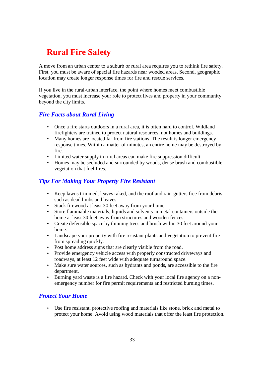## **Rural Fire Safety**

A move from an urban center to a suburb or rural area requires you to rethink fire safety. First, you must be aware of special fire hazards near wooded areas. Second, geographic location may create longer response times for fire and rescue services.

If you live in the rural-urban interface, the point where homes meet combustible vegetation, you must increase your role to protect lives and property in your community beyond the city limits.

## *Fire Facts about Rural Living*

- Once a fire starts outdoors in a rural area, it is often hard to control. Wildland firefighters are trained to protect natural resources, not homes and buildings.
- Many homes are located far from fire stations. The result is longer emergency response times. Within a matter of minutes, an entire home may be destroyed by fire.
- Limited water supply in rural areas can make fire suppression difficult.
- Homes may be secluded and surrounded by woods, dense brush and combustible vegetation that fuel fires.

## *Tips For Making Your Property Fire Resistant*

- Keep lawns trimmed, leaves raked, and the roof and rain-gutters free from debris such as dead limbs and leaves.
- Stack firewood at least 30 feet away from your home.
- Store flammable materials, liquids and solvents in metal containers outside the home at least 30 feet away from structures and wooden fences.
- Create defensible space by thinning trees and brush within 30 feet around your home.
- Landscape your property with fire resistant plants and vegetation to prevent fire from spreading quickly.
- Post home address signs that are clearly visible from the road.
- Provide emergency vehicle access with properly constructed driveways and roadways, at least 12 feet wide with adequate turnaround space.
- Make sure water sources, such as hydrants and ponds, are accessible to the fire department.
- Burning yard waste is a fire hazard. Check with your local fire agency on a nonemergency number for fire permit requirements and restricted burning times.

## *Protect Your Home*

• Use fire resistant, protective roofing and materials like stone, brick and metal to protect your home. Avoid using wood materials that offer the least fire protection.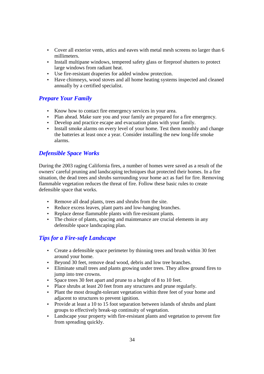- Cover all exterior vents, attics and eaves with metal mesh screens no larger than 6 millimeters.
- Install multipane windows, tempered safety glass or fireproof shutters to protect large windows from radiant heat.
- Use fire-resistant draperies for added window protection.
- Have chimneys, wood stoves and all home heating systems inspected and cleaned annually by a certified specialist.

## *Prepare Your Family*

- Know how to contact fire emergency services in your area.
- Plan ahead. Make sure you and your family are prepared for a fire emergency.
- Develop and practice escape and evacuation plans with your family.
- Install smoke alarms on every level of your home. Test them monthly and change the batteries at least once a year. Consider installing the new long-life smoke alarms.

## *Defensible Space Works*

During the 2003 raging California fires, a number of homes were saved as a result of the owners' careful pruning and landscaping techniques that protected their homes. In a fire situation, the dead trees and shrubs surrounding your home act as fuel for fire. Removing flammable vegetation reduces the threat of fire. Follow these basic rules to create defensible space that works.

- Remove all dead plants, trees and shrubs from the site.
- Reduce excess leaves, plant parts and low-hanging branches.
- Replace dense flammable plants with fire-resistant plants.
- The choice of plants, spacing and maintenance are crucial elements in any defensible space landscaping plan.

## *Tips for a Fire-safe Landscape*

- Create a defensible space perimeter by thinning trees and brush within 30 feet around your home.
- Beyond 30 feet, remove dead wood, debris and low tree branches.
- Eliminate small trees and plants growing under trees. They allow ground fires to jump into tree crowns.
- Space trees 30 feet apart and prune to a height of 8 to 10 feet.
- Place shrubs at least 20 feet from any structures and prune regularly.
- Plant the most drought-tolerant vegetation within three feet of your home and adjacent to structures to prevent ignition.
- Provide at least a 10 to 15 foot separation between islands of shrubs and plant groups to effectively break-up continuity of vegetation.
- Landscape your property with fire-resistant plants and vegetation to prevent fire from spreading quickly.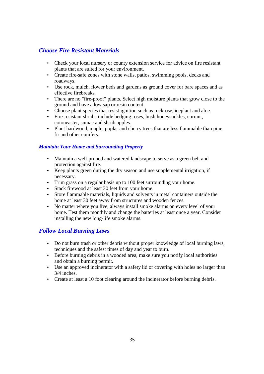## *Choose Fire Resistant Materials*

- Check your local nursery or county extension service for advice on fire resistant plants that are suited for your environment.
- Create fire-safe zones with stone walls, patios, swimming pools, decks and roadways.
- Use rock, mulch, flower beds and gardens as ground cover for bare spaces and as effective firebreaks.
- There are no "fire-proof" plants. Select high moisture plants that grow close to the ground and have a low sap or resin content.
- Choose plant species that resist ignition such as rockrose, iceplant and aloe.
- Fire-resistant shrubs include hedging roses, bush honeysuckles, currant, cotoneaster, sumac and shrub apples.
- Plant hardwood, maple, poplar and cherry trees that are less flammable than pine, fir and other conifers.

#### *Maintain Your Home and Surrounding Property*

- Maintain a well-pruned and watered landscape to serve as a green belt and protection against fire.
- Keep plants green during the dry season and use supplemental irrigation, if necessary.
- Trim grass on a regular basis up to 100 feet surrounding your home.
- Stack firewood at least 30 feet from your home.
- Store flammable materials, liquids and solvents in metal containers outside the home at least 30 feet away from structures and wooden fences.
- No matter where you live, always install smoke alarms on every level of your home. Test them monthly and change the batteries at least once a year. Consider installing the new long-life smoke alarms.

## *Follow Local Burning Laws*

- Do not burn trash or other debris without proper knowledge of local burning laws, techniques and the safest times of day and year to burn.
- Before burning debris in a wooded area, make sure you notify local authorities and obtain a burning permit.
- Use an approved incinerator with a safety lid or covering with holes no larger than 3/4 inches.
- Create at least a 10 foot clearing around the incinerator before burning debris.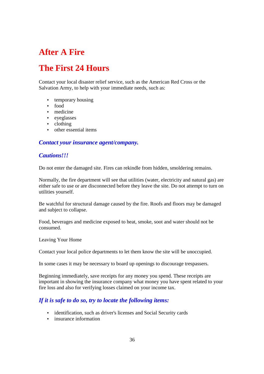## **After A Fire**

## **The First 24 Hours**

Contact your local disaster relief service, such as the American Red Cross or the Salvation Army, to help with your immediate needs, such as:

- temporary housing
- food
- medicine
- eyeglasses
- clothing
- other essential items

#### *Contact your insurance agent/company.*

## *Cautions!!!*

Do not enter the damaged site. Fires can rekindle from hidden, smoldering remains.

Normally, the fire department will see that utilities (water, electricity and natural gas) are either safe to use or are disconnected before they leave the site. Do not attempt to turn on utilities yourself.

Be watchful for structural damage caused by the fire. Roofs and floors may be damaged and subject to collapse.

Food, beverages and medicine exposed to heat, smoke, soot and water should not be consumed.

Leaving Your Home

Contact your local police departments to let them know the site will be unoccupied.

In some cases it may be necessary to board up openings to discourage trespassers.

Beginning immediately, save receipts for any money you spend. These receipts are important in showing the insurance company what money you have spent related to your fire loss and also for verifying losses claimed on your income tax.

## *If it is safe to do so, try to locate the following items:*

- identification, such as driver's licenses and Social Security cards
- insurance information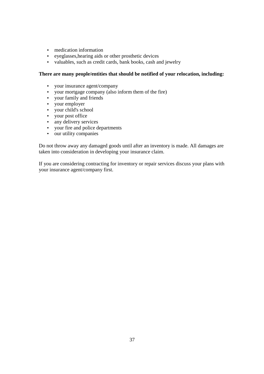- medication information
- eyeglasses,hearing aids or other prosthetic devices
- valuables, such as credit cards, bank books, cash and jewelry

#### **There are many people/entities that should be notified of your relocation, including:**

- your insurance agent/company
- your mortgage company (also inform them of the fire)
- your family and friends
- your employer
- your child's school
- your post office
- any delivery services
- your fire and police departments
- our utility companies

Do not throw away any damaged goods until after an inventory is made. All damages are taken into consideration in developing your insurance claim.

If you are considering contracting for inventory or repair services discuss your plans with your insurance agent/company first.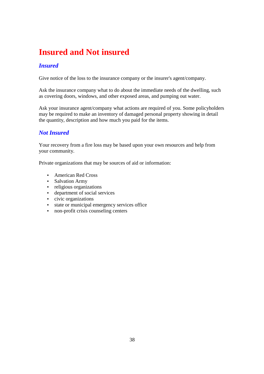## **Insured and Not insured**

## *Insured*

Give notice of the loss to the insurance company or the insurer's agent/company.

Ask the insurance company what to do about the immediate needs of the dwelling, such as covering doors, windows, and other exposed areas, and pumping out water.

Ask your insurance agent/company what actions are required of you. Some policyholders may be required to make an inventory of damaged personal property showing in detail the quantity, description and how much you paid for the items.

## *Not Insured*

Your recovery from a fire loss may be based upon your own resources and help from your community.

Private organizations that may be sources of aid or information:

- American Red Cross
- Salvation Army
- religious organizations
- department of social services
- civic organizations
- state or municipal emergency services office
- non-profit crisis counseling centers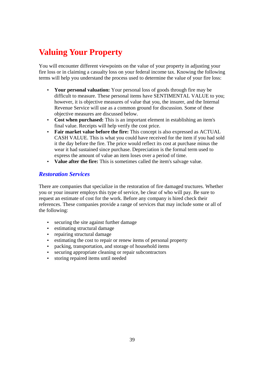## **Valuing Your Property**

You will encounter different viewpoints on the value of your property in adjusting your fire loss or in claiming a casualty loss on your federal income tax. Knowing the following terms will help you understand the process used to determine the value of your fire loss:

- **Your personal valuation:** Your personal loss of goods through fire may be difficult to measure. These personal items have SENTIMENTAL VALUE to you; however, it is objective measures of value that you, the insurer, and the Internal Revenue Service will use as a common ground for discussion. Some of these objective measures are discussed below.
- **Cost when purchased:** This is an important element in establishing an item's final value. Receipts will help verify the cost price.
- **Fair market value before the fire:** This concept is also expressed as ACTUAL CASH VALUE. This is what you could have received for the item if you had sold it the day before the fire. The price would reflect its cost at purchase minus the wear it had sustained since purchase. Depreciation is the formal term used to express the amount of value an item loses over a period of time.
- **Value after the fire:** This is sometimes called the item's salvage value.

### *Restoration Services*

There are companies that specialize in the restoration of fire damaged tructures. Whether you or your insurer employs this type of service, be clear of who will pay. Be sure to request an estimate of cost for the work. Before any company is hired check their references. These companies provide a range of services that may include some or all of the following:

- securing the site against further damage
- estimating structural damage
- repairing structural damage
- estimating the cost to repair or renew items of personal property
- packing, transportation, and storage of household items
- securing appropriate cleaning or repair subcontractors
- storing repaired items until needed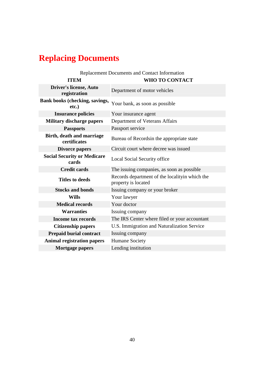## **Replacing Documents**

| Replacement Documents and Contact Information |                                                                       |
|-----------------------------------------------|-----------------------------------------------------------------------|
| <b>ITEM</b>                                   | WHO TO CONTACT                                                        |
| <b>Driver's license, Auto</b><br>registration | Department of motor vehicles                                          |
| Bank books (checking, savings,<br>etc.)       | Your bank, as soon as possible                                        |
| <b>Insurance policies</b>                     | Your insurance agent                                                  |
| <b>Military discharge papers</b>              | Department of Veterans Affairs                                        |
| <b>Passports</b>                              | Passport service                                                      |
| Birth, death and marriage<br>certificates     | Bureau of Recordsin the appropriate state                             |
| <b>Divorce papers</b>                         | Circuit court where decree was issued                                 |
| <b>Social Security or Medicare</b><br>cards   | Local Social Security office                                          |
| <b>Credit cards</b>                           | The issuing companies, as soon as possible                            |
| <b>Titles to deeds</b>                        | Records department of the localityin which the<br>property is located |
| <b>Stocks and bonds</b>                       | Issuing company or your broker                                        |
| <b>Wills</b>                                  | Your lawyer                                                           |
| <b>Medical records</b>                        | Your doctor                                                           |
| <b>Warranties</b>                             | Issuing company                                                       |
| <b>Income tax records</b>                     | The IRS Center where filed or your accountant                         |
| <b>Citizenship papers</b>                     | U.S. Immigration and Naturalization Service                           |
| <b>Prepaid burial contract</b>                | Issuing company                                                       |
| <b>Animal registration papers</b>             | Humane Society                                                        |
| Mortgage papers                               | Lending institution                                                   |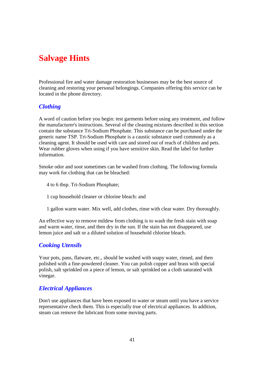## **Salvage Hints**

Professional fire and water damage restoration businesses may be the best source of cleaning and restoring your personal belongings. Companies offering this service can be located in the phone directory.

## *Clothing*

A word of caution before you begin: test garments before using any treatment, and follow the manufacturer's instructions. Several of the cleaning mixtures described in this section contain the substance Tri-Sodium Phosphate. This substance can be purchased under the generic name TSP. Tri-Sodium Phosphate is a caustic substance used commonly as a cleaning agent. It should be used with care and stored out of reach of children and pets. Wear rubber gloves when using if you have sensitive skin. Read the label for further information.

Smoke odor and soot sometimes can be washed from clothing. The following formula may work for clothing that can be bleached:

4 to 6 tbsp. Tri-Sodium Phosphate;

1 cup household cleaner or chlorine bleach: and

1 gallon warm water. Mix well, add clothes, rinse with clear water. Dry thoroughly.

An effective way to remove mildew from clothing is to wash the fresh stain with soap and warm water, rinse, and then dry in the sun. If the stain has not disappeared, use lemon juice and salt or a diluted solution of household chlorine bleach.

## *Cooking Utensils*

Your pots, pans, flatware, etc., should be washed with soapy water, rinsed, and then polished with a fine-powdered cleaner. You can polish copper and brass with special polish, salt sprinkled on a piece of lemon, or salt sprinkled on a cloth saturated with vinegar.

## *Electrical Appliances*

Don't use appliances that have been exposed to water or steam until you have a service representative check them. This is especially true of electrical appliances. In addition, steam can remove the lubricant from some moving parts.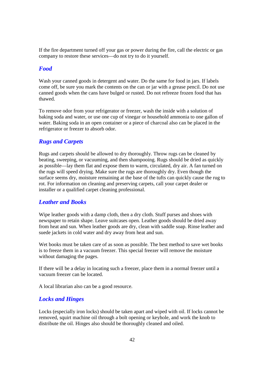If the fire department turned off your gas or power during the fire, call the electric or gas company to restore these services—do not try to do it yourself.

### *Food*

Wash your canned goods in detergent and water. Do the same for food in jars. If labels come off, be sure you mark the contents on the can or jar with a grease pencil. Do not use canned goods when the cans have bulged or rusted. Do not refreeze frozen food that has thawed.

To remove odor from your refrigerator or freezer, wash the inside with a solution of baking soda and water, or use one cup of vinegar or household ammonia to one gallon of water. Baking soda in an open container or a piece of charcoal also can be placed in the refrigerator or freezer to absorb odor.

### *Rugs and Carpets*

Rugs and carpets should be allowed to dry thoroughly. Throw rugs can be cleaned by beating, sweeping, or vacuuming, and then shampooing. Rugs should be dried as quickly as possible—lay them flat and expose them to warm, circulated, dry air. A fan turned on the rugs will speed drying. Make sure the rugs are thoroughly dry. Even though the surface seems dry, moisture remaining at the base of the tufts can quickly cause the rug to rot. For information on cleaning and preserving carpets, call your carpet dealer or installer or a qualified carpet cleaning professional.

#### *Leather and Books*

Wipe leather goods with a damp cloth, then a dry cloth. Stuff purses and shoes with newspaper to retain shape. Leave suitcases open. Leather goods should be dried away from heat and sun. When leather goods are dry, clean with saddle soap. Rinse leather and suede jackets in cold water and dry away from heat and sun.

Wet books must be taken care of as soon as possible. The best method to save wet books is to freeze them in a vacuum freezer. This special freezer will remove the moisture without damaging the pages.

If there will be a delay in locating such a freezer, place them in a normal freezer until a vacuum freezer can be located.

A local librarian also can be a good resource.

### *Locks and Hinges*

Locks (especially iron locks) should be taken apart and wiped with oil. If locks cannot be removed, squirt machine oil through a bolt opening or keyhole, and work the knob to distribute the oil. Hinges also should be thoroughly cleaned and oiled.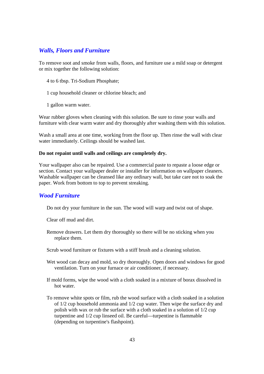### *Walls, Floors and Furniture*

To remove soot and smoke from walls, floors, and furniture use a mild soap or detergent or mix together the following solution:

- 4 to 6 tbsp. Tri-Sodium Phosphate;
- 1 cup household cleaner or chlorine bleach; and
- 1 gallon warm water.

Wear rubber gloves when cleaning with this solution. Be sure to rinse your walls and furniture with clear warm water and dry thoroughly after washing them with this solution.

Wash a small area at one time, working from the floor up. Then rinse the wall with clear water immediately. Ceilings should be washed last.

#### **Do not repaint until walls and ceilings are completely dry.**

Your wallpaper also can be repaired. Use a commercial paste to repaste a loose edge or section. Contact your wallpaper dealer or installer for information on wallpaper cleaners. Washable wallpaper can be cleansed like any ordinary wall, but take care not to soak the paper. Work from bottom to top to prevent streaking.

#### *Wood Furniture*

Do not dry your furniture in the sun. The wood will warp and twist out of shape.

Clear off mud and dirt.

- Remove drawers. Let them dry thoroughly so there will be no sticking when you replace them.
- Scrub wood furniture or fixtures with a stiff brush and a cleaning solution.
- Wet wood can decay and mold, so dry thoroughly. Open doors and windows for good ventilation. Turn on your furnace or air conditioner, if necessary.
- If mold forms, wipe the wood with a cloth soaked in a mixture of borax dissolved in hot water.
- To remove white spots or film, rub the wood surface with a cloth soaked in a solution of 1/2 cup household ammonia and 1/2 cup water. Then wipe the surface dry and polish with wax or rub the surface with a cloth soaked in a solution of 1/2 cup turpentine and 1/2 cup linseed oil. Be careful—turpentine is flammable (depending on turpentine's flashpoint).